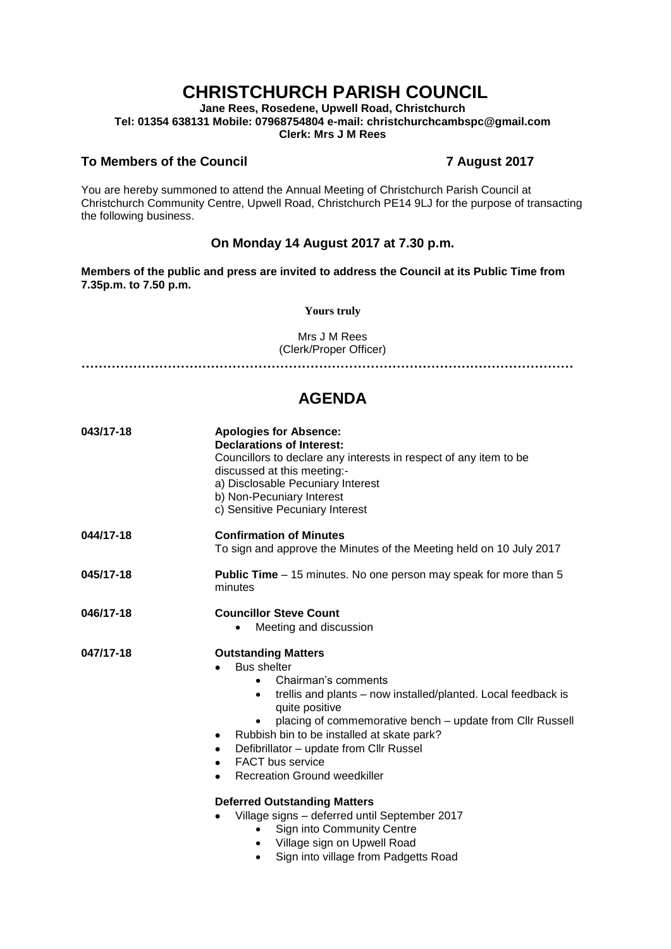# **CHRISTCHURCH PARISH COUNCIL**

**Jane Rees, Rosedene, Upwell Road, Christchurch Tel: 01354 638131 Mobile: 07968754804 e-mail: christchurchcambspc@gmail.com Clerk: Mrs J M Rees**

### **To Members of the Council 7 August 2017**

You are hereby summoned to attend the Annual Meeting of Christchurch Parish Council at Christchurch Community Centre, Upwell Road, Christchurch PE14 9LJ for the purpose of transacting the following business.

## **On Monday 14 August 2017 at 7.30 p.m.**

**Members of the public and press are invited to address the Council at its Public Time from 7.35p.m. to 7.50 p.m.** 

**Yours truly**

Mrs J M Rees (Clerk/Proper Officer)

**……………………………………………………………………………………………………**

## **AGENDA**

| 043/17-18 | <b>Apologies for Absence:</b><br><b>Declarations of Interest:</b><br>Councillors to declare any interests in respect of any item to be<br>discussed at this meeting:-<br>a) Disclosable Pecuniary Interest<br>b) Non-Pecuniary Interest<br>c) Sensitive Pecuniary Interest                                                                                                                                                                                                                                                                                                                                                                                      |  |  |
|-----------|-----------------------------------------------------------------------------------------------------------------------------------------------------------------------------------------------------------------------------------------------------------------------------------------------------------------------------------------------------------------------------------------------------------------------------------------------------------------------------------------------------------------------------------------------------------------------------------------------------------------------------------------------------------------|--|--|
| 044/17-18 | <b>Confirmation of Minutes</b><br>To sign and approve the Minutes of the Meeting held on 10 July 2017                                                                                                                                                                                                                                                                                                                                                                                                                                                                                                                                                           |  |  |
| 045/17-18 | <b>Public Time</b> – 15 minutes. No one person may speak for more than 5<br>minutes                                                                                                                                                                                                                                                                                                                                                                                                                                                                                                                                                                             |  |  |
| 046/17-18 | <b>Councillor Steve Count</b><br>Meeting and discussion                                                                                                                                                                                                                                                                                                                                                                                                                                                                                                                                                                                                         |  |  |
| 047/17-18 | <b>Outstanding Matters</b><br><b>Bus shelter</b><br>Chairman's comments<br>$\bullet$<br>trellis and plants – now installed/planted. Local feedback is<br>$\bullet$<br>quite positive<br>placing of commemorative bench – update from Cllr Russell<br>Rubbish bin to be installed at skate park?<br>٠<br>Defibrillator - update from Cllr Russel<br>٠<br><b>FACT</b> bus service<br>$\bullet$<br><b>Recreation Ground weedkiller</b><br>٠<br><b>Deferred Outstanding Matters</b><br>Village signs - deferred until September 2017<br>Sign into Community Centre<br>Village sign on Upwell Road<br>$\bullet$<br>Sign into village from Padgetts Road<br>$\bullet$ |  |  |